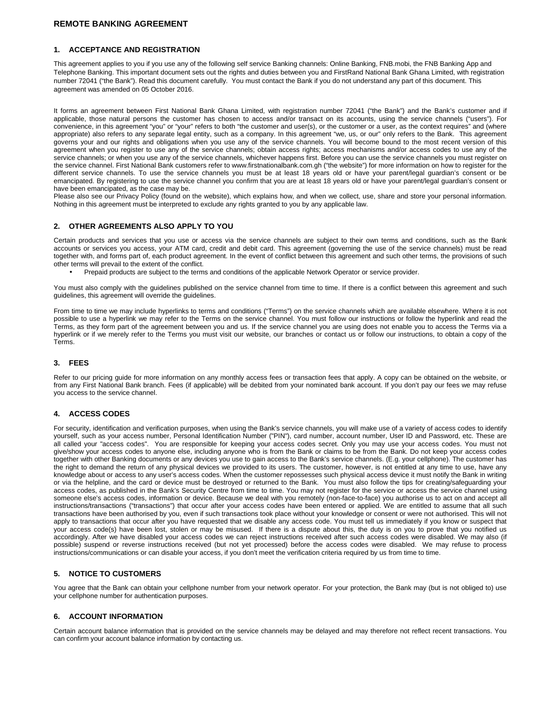# **REMOTE BANKING AGREEMENT**

### **1. ACCEPTANCE AND REGISTRATION**

This agreement applies to you if you use any of the following self service Banking channels: Online Banking, FNB.mobi, the FNB Banking App and Telephone Banking. This important document sets out the rights and duties between you and FirstRand National Bank Ghana Limited, with registration number 72041 ("the Bank"). Read this document carefully. You must contact the Bank if you do not understand any part of this document. This agreement was amended on 05 October 2016.

It forms an agreement between First National Bank Ghana Limited, with registration number 72041 ("the Bank") and the Bank's customer and if applicable, those natural persons the customer has chosen to access and/or transact on its accounts, using the service channels ("users"). For convenience, in this agreement "you" or "your" refers to both "the customer and user(s), or the customer or a user, as the context requires" and (where appropriate) also refers to any separate legal entity, such as a company. In this agreement "we, us, or our" only refers to the Bank. This agreement governs your and our rights and obligations when you use any of the service channels. You will become bound to the most recent version of this agreement when you register to use any of the service channels; obtain access rights; access mechanisms and/or access codes to use any of the service channels; or when you use any of the service channels, whichever happens first. Before you can use the service channels you must register on the service channel. First National Bank customers refer to <www.firstnationalbank.com.gh> ("the website") for more information on how to register for the different service channels. To use the service channels you must be at least 18 years old or have your parent/legal guardian's consent or be emancipated. By registering to use the service channel you confirm that you are at least 18 years old or have your parent/legal guardian's consent or have been emancipated, as the case may be.

Please also see our Privacy Policy (found on the website), which explains how, and when we collect, use, share and store your personal information. Nothing in this agreement must be interpreted to exclude any rights granted to you by any applicable law.

### **2. OTHER AGREEMENTS ALSO APPLY TO YOU**

Certain products and services that you use or access via the service channels are subject to their own terms and conditions, such as the Bank accounts or services you access, your ATM card, credit and debit card. This agreement (governing the use of the service channels) must be read together with, and forms part of, each product agreement. In the event of conflict between this agreement and such other terms, the provisions of such other terms will prevail to the extent of the conflict.

• Prepaid products are subject to the terms and conditions of the applicable Network Operator or service provider.

You must also comply with the guidelines published on the service channel from time to time. If there is a conflict between this agreement and such guidelines, this agreement will override the guidelines.

From time to time we may include hyperlinks to terms and conditions ("Terms") on the service channels which are available elsewhere. Where it is not possible to use a hyperlink we may refer to the Terms on the service channel. You must follow our instructions or follow the hyperlink and read the Terms, as they form part of the agreement between you and us. If the service channel you are using does not enable you to access the Terms via a hyperlink or if we merely refer to the Terms you must visit our website, our branches or contact us or follow our instructions, to obtain a copy of the Terms.

### **3. FEES**

Refer to our pricing guide for more information on any monthly access fees or transaction fees that apply. A copy can be obtained on the website, or from any First National Bank branch. Fees (if applicable) will be debited from your nominated bank account. If you don't pay our fees we may refuse you access to the service channel.

### **4. ACCESS CODES**

For security, identification and verification purposes, when using the Bank's service channels, you will make use of a variety of access codes to identify yourself, such as your access number, Personal Identification Number ("PIN"), card number, account number, User ID and Password, etc. These are all called your "access codes". You are responsible for keeping your access codes secret. Only you may use your access codes. You must not give/show your access codes to anyone else, including anyone who is from the Bank or claims to be from the Bank. Do not keep your access codes together with other Banking documents or any devices you use to gain access to the Bank's service channels. (E.g. your cellphone). The customer has the right to demand the return of any physical devices we provided to its users. The customer, however, is not entitled at any time to use, have any knowledge about or access to any user's access codes. When the customer repossesses such physical access device it must notify the Bank in writing or via the helpline, and the card or device must be destroyed or returned to the Bank. You must also follow the tips for creating/safeguarding your access codes, as published in the Bank's Security Centre from time to time. You may not register for the service or access the service channel using someone else's access codes, information or device. Because we deal with you remotely (non-face-to-face) you authorise us to act on and accept all instructions/transactions ("transactions") that occur after your access codes have been entered or applied. We are entitled to assume that all such transactions have been authorised by you, even if such transactions took place without your knowledge or consent or were not authorised. This will not apply to transactions that occur after you have requested that we disable any access code. You must tell us immediately if you know or suspect that your access code(s) have been lost, stolen or may be misused. If there is a dispute about this, the duty is on you to prove that you notified us accordingly. After we have disabled your access codes we can reject instructions received after such access codes were disabled. We may also (if possible) suspend or reverse instructions received (but not yet processed) before the access codes were disabled. We may refuse to process instructions/communications or can disable your access, if you don't meet the verification criteria required by us from time to time.

### **5. NOTICE TO CUSTOMERS**

You agree that the Bank can obtain your cellphone number from your network operator. For your protection, the Bank may (but is not obliged to) use your cellphone number for authentication purposes.

# **6. ACCOUNT INFORMATION**

Certain account balance information that is provided on the service channels may be delayed and may therefore not reflect recent transactions. You can confirm your account balance information by contacting us.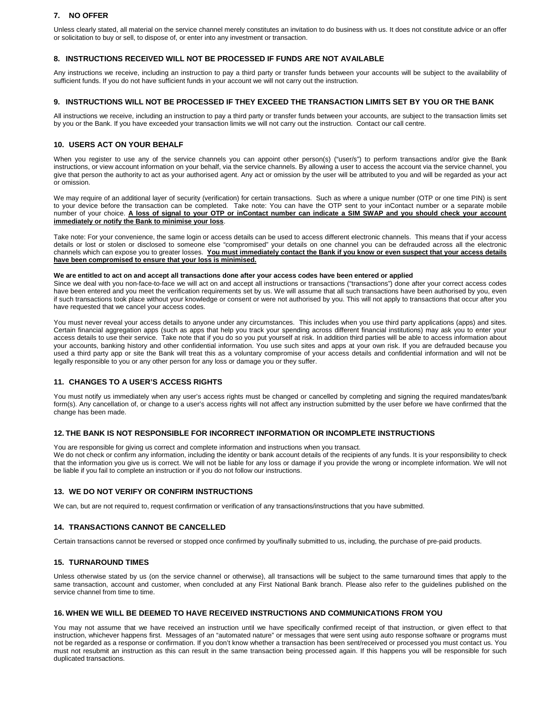### **7. NO OFFER**

Unless clearly stated, all material on the service channel merely constitutes an invitation to do business with us. It does not constitute advice or an offer or solicitation to buy or sell, to dispose of, or enter into any investment or transaction.

# **8. INSTRUCTIONS RECEIVED WILL NOT BE PROCESSED IF FUNDS ARE NOT AVAILABLE**

Any instructions we receive, including an instruction to pay a third party or transfer funds between your accounts will be subject to the availability of sufficient funds. If you do not have sufficient funds in your account we will not carry out the instruction.

### **9. INSTRUCTIONS WILL NOT BE PROCESSED IF THEY EXCEED THE TRANSACTION LIMITS SET BY YOU OR THE BANK**

All instructions we receive, including an instruction to pay a third party or transfer funds between your accounts, are subject to the transaction limits set by you or the Bank. If you have exceeded your transaction limits we will not carry out the instruction. Contact our call centre.

# **10. USERS ACT ON YOUR BEHALF**

When you register to use any of the service channels you can appoint other person(s) ("user/s") to perform transactions and/or give the Bank instructions, or view account information on your behalf, via the service channels. By allowing a user to access the account via the service channel, you give that person the authority to act as your authorised agent. Any act or omission by the user will be attributed to you and will be regarded as your act or omission.

We may require of an additional layer of security (verification) for certain transactions. Such as where a unique number (OTP or one time PIN) is sent to your device before the transaction can be completed. Take note: You can have the OTP sent to your inContact number or a separate mobile number of your choice. **A loss of signal to your OTP or inContact number can indicate a SIM SWAP and you should check your account immediately or notify the Bank to minimise your loss**.

Take note: For your convenience, the same login or access details can be used to access different electronic channels. This means that if your access details or lost or stolen or disclosed to someone else "compromised" your details on one channel you can be defrauded across all the electronic channels which can expose you to greater losses. **You must immediately contact the Bank if you know or even suspect that your access details have been compromised to ensure that your loss is minimised.**

### **We are entitled to act on and accept all transactions done after your access codes have been entered or applied**

Since we deal with you non-face-to-face we will act on and accept all instructions or transactions ("transactions") done after your correct access codes have been entered and you meet the verification requirements set by us. We will assume that all such transactions have been authorised by you, even if such transactions took place without your knowledge or consent or were not authorised by you. This will not apply to transactions that occur after you have requested that we cancel your access codes.

You must never reveal your access details to anyone under any circumstances. This includes when you use third party applications (apps) and sites. Certain financial aggregation apps (such as apps that help you track your spending across different financial institutions) may ask you to enter your access details to use their service. Take note that if you do so you put yourself at risk. In addition third parties will be able to access information about your accounts, banking history and other confidential information. You use such sites and apps at your own risk. If you are defrauded because you used a third party app or site the Bank will treat this as a voluntary compromise of your access details and confidential information and will not be legally responsible to you or any other person for any loss or damage you or they suffer.

### **11. CHANGES TO A USER'S ACCESS RIGHTS**

You must notify us immediately when any user's access rights must be changed or cancelled by completing and signing the required mandates/bank form(s). Any cancellation of, or change to a user's access rights will not affect any instruction submitted by the user before we have confirmed that the change has been made.

# **12. THE BANK IS NOT RESPONSIBLE FOR INCORRECT INFORMATION OR INCOMPLETE INSTRUCTIONS**

You are responsible for giving us correct and complete information and instructions when you transact.

We do not check or confirm any information, including the identity or bank account details of the recipients of any funds. It is your responsibility to check that the information you give us is correct. We will not be liable for any loss or damage if you provide the wrong or incomplete information. We will not be liable if you fail to complete an instruction or if you do not follow our instructions.

### **13. WE DO NOT VERIFY OR CONFIRM INSTRUCTIONS**

We can, but are not required to, request confirmation or verification of any transactions/instructions that you have submitted.

### **14. TRANSACTIONS CANNOT BE CANCELLED**

Certain transactions cannot be reversed or stopped once confirmed by you/finally submitted to us, including, the purchase of pre-paid products.

### **15. TURNAROUND TIMES**

Unless otherwise stated by us (on the service channel or otherwise), all transactions will be subject to the same turnaround times that apply to the same transaction, account and customer, when concluded at any First National Bank branch. Please also refer to the guidelines published on the service channel from time to time.

#### **16. WHEN WE WILL BE DEEMED TO HAVE RECEIVED INSTRUCTIONS AND COMMUNICATIONS FROM YOU**

You may not assume that we have received an instruction until we have specifically confirmed receipt of that instruction, or given effect to that instruction, whichever happens first. Messages of an "automated nature" or messages that were sent using auto response software or programs must not be regarded as a response or confirmation. If you don't know whether a transaction has been sent/received or processed you must contact us. You must not resubmit an instruction as this can result in the same transaction being processed again. If this happens you will be responsible for such duplicated transactions.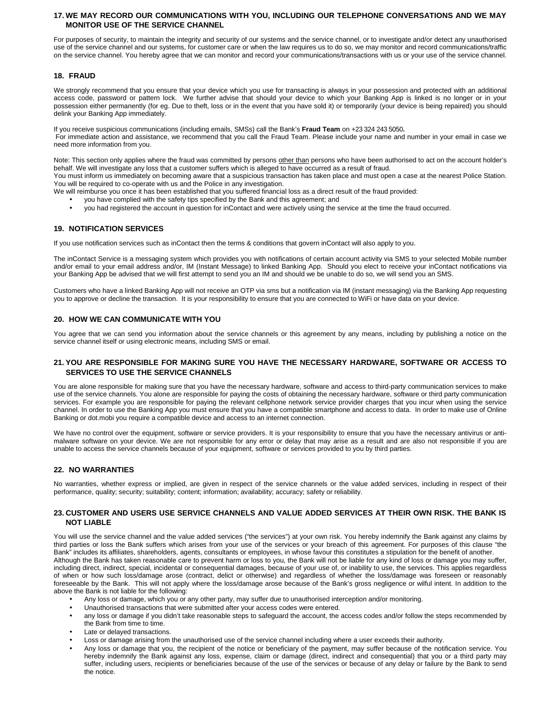### **17. WE MAY RECORD OUR COMMUNICATIONS WITH YOU, INCLUDING OUR TELEPHONE CONVERSATIONS AND WE MAY MONITOR USE OF THE SERVICE CHANNEL**

For purposes of security, to maintain the integrity and security of our systems and the service channel, or to investigate and/or detect any unauthorised use of the service channel and our systems, for customer care or when the law requires us to do so, we may monitor and record communications/traffic on the service channel. You hereby agree that we can monitor and record your communications/transactions with us or your use of the service channel.

### **18. FRAUD**

We strongly recommend that you ensure that your device which you use for transacting is always in your possession and protected with an additional access code, password or pattern lock. We further advise that should your device to which your Banking App is linked is no longer or in your possession either permanently (for eg. Due to theft, loss or in the event that you have sold it) or temporarily (your device is being repaired) you should delink your Banking App immediately.

If you receive suspicious communications (including emails, SMSs) call the Bank's **Fraud Team** on +23 324 243 5050**.** For immediate action and assistance, we recommend that you call the Fraud Team. Please include your name and number in your email in case we need more information from you.

Note: This section only applies where the fraud was committed by persons other than persons who have been authorised to act on the account holder's behalf. We will investigate any loss that a customer suffers which is alleged to have occurred as a result of fraud.

You must inform us immediately on becoming aware that a suspicious transaction has taken place and must open a case at the nearest Police Station. You will be required to co-operate with us and the Police in any investigation.

- We will reimburse you once it has been established that you suffered financial loss as a direct result of the fraud provided:
	- you have complied with the safety tips specified by the Bank and this agreement; and
	- you had registered the account in question for inContact and were actively using the service at the time the fraud occurred.

### **19. NOTIFICATION SERVICES**

If you use notification services such as inContact then the terms & conditions that govern inContact will also apply to you.

The inContact Service is a messaging system which provides you with notifications of certain account activity via SMS to your selected Mobile number and/or email to your email address and/or, IM (Instant Message) to linked Banking App. Should you elect to receive your inContact notifications via your Banking App be advised that we will first attempt to send you an IM and should we be unable to do so, we will send you an SMS.

Customers who have a linked Banking App will not receive an OTP via sms but a notification via IM (instant messaging) via the Banking App requesting you to approve or decline the transaction. It is your responsibility to ensure that you are connected to WiFi or have data on your device.

### **20. HOW WE CAN COMMUNICATE WITH YOU**

You agree that we can send you information about the service channels or this agreement by any means, including by publishing a notice on the service channel itself or using electronic means, including SMS or email.

### **21. YOU ARE RESPONSIBLE FOR MAKING SURE YOU HAVE THE NECESSARY HARDWARE, SOFTWARE OR ACCESS TO SERVICES TO USE THE SERVICE CHANNELS**

You are alone responsible for making sure that you have the necessary hardware, software and access to third-party communication services to make use of the service channels. You alone are responsible for paying the costs of obtaining the necessary hardware, software or third party communication services. For example you are responsible for paying the relevant cellphone network service provider charges that you incur when using the service channel. In order to use the Banking App you must ensure that you have a compatible smartphone and access to data. In order to make use of Online Banking or dot.mobi you require a compatible device and access to an internet connection.

We have no control over the equipment, software or service providers. It is your responsibility to ensure that you have the necessary antivirus or anti malware software on your device. We are not responsible for any error or delay that may arise as a result and are also not responsible if you are unable to access the service channels because of your equipment, software or services provided to you by third parties.

### **22. NO WARRANTIES**

No warranties, whether express or implied, are given in respect of the service channels or the value added services, including in respect of their performance, quality; security; suitability; content; information; availability; accuracy; safety or reliability.

### **23. CUSTOMER AND USERS USE SERVICE CHANNELS AND VALUE ADDED SERVICES AT THEIR OWN RISK. THE BANK IS NOT LIABLE**

You will use the service channel and the value added services ("the services") at your own risk. You hereby indemnify the Bank against any claims by third parties or loss the Bank suffers which arises from your use of the services or your breach of this agreement. For purposes of this clause "the Bank" includes its affiliates, shareholders, agents, consultants or employees, in whose favour this constitutes a stipulation for the benefit of another. Although the Bank has taken reasonable care to prevent harm or loss to you, the Bank will not be liable for any kind of loss or damage you may suffer, including direct, indirect, special, incidental or consequential damages, because of your use of, or inability to use, the services. This applies regardless of when or how such loss/damage arose (contract, delict or otherwise) and regardless of whether the loss/damage was foreseen or reasonably foreseeable by the Bank. This will not apply where the loss/damage arose because of the Bank's gross negligence or wilful intent. In addition to the above the Bank is not liable for the following:

- Any loss or damage, which you or any other party, may suffer due to unauthorised interception and/or monitoring.
- Unauthorised transactions that were submitted after your access codes were entered.
- any loss or damage if you didn't take reasonable steps to safeguard the account, the access codes and/or follow the steps recommended by the Bank from time to time.
- Late or delayed transactions.
- Loss or damage arising from the unauthorised use of the service channel including where a user exceeds their authority.
- Any loss or damage that you, the recipient of the notice or beneficiary of the payment, may suffer because of the notification service. You hereby indemnify the Bank against any loss, expense, claim or damage (direct, indirect and consequential) that you or a third party may suffer, including users, recipients or beneficiaries because of the use of the services or because of any delay or failure by the Bank to send the notice.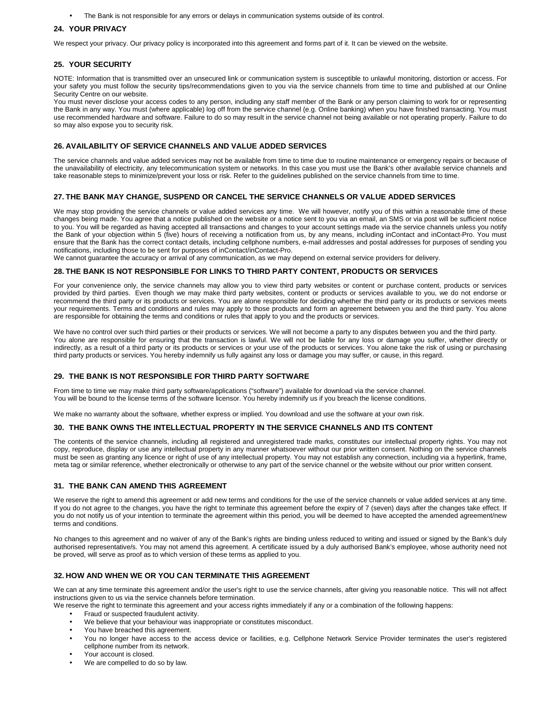• The Bank is not responsible for any errors or delays in communication systems outside of its control.

### **24. YOUR PRIVACY**

We respect your privacy. Our privacy policy is incorporated into this agreement and forms part of it. It can be viewed on the website.

### **25. YOUR SECURITY**

NOTE: Information that is transmitted over an unsecured link or communication system is susceptible to unlawful monitoring, distortion or access. For your safety you must follow the security tips/recommendations given to you via the service channels from time to time and published at our Online Security Centre on our website.

You must never disclose your access codes to any person, including any staff member of the Bank or any person claiming to work for or representing the Bank in any way. You must (where applicable) log off from the service channel (e.g. Online banking) when you have finished transacting. You must use recommended hardware and software. Failure to do so may result in the service channel not being available or not operating properly. Failure to do so may also expose you to security risk.

#### **26. AVAILABILITY OF SERVICE CHANNELS AND VALUE ADDED SERVICES**

The service channels and value added services may not be available from time to time due to routine maintenance or emergency repairs or because of the unavailability of electricity, any telecommunication system or networks. In this case you must use the Bank's other available service channels and take reasonable steps to minimize/prevent your loss or risk. Refer to the guidelines published on the service channels from time to time.

### **27. THE BANK MAY CHANGE, SUSPEND OR CANCEL THE SERVICE CHANNELS OR VALUE ADDED SERVICES**

We may stop providing the service channels or value added services any time. We will however, notify you of this within a reasonable time of these changes being made. You agree that a notice published on the website or a notice sent to you via an email, an SMS or via post will be sufficient notice to you. You will be regarded as having accepted all transactions and changes to your account settings made via the service channels unless you notify the Bank of your objection within 5 (five) hours of receiving a notification from us, by any means, including inContact and inContact-Pro. You must ensure that the Bank has the correct contact details, including cellphone numbers, e-mail addresses and postal addresses for purposes of sending you notifications, including those to be sent for purposes of inContact/inContact-Pro.

We cannot guarantee the accuracy or arrival of any communication, as we may depend on external service providers for delivery.

#### **28. THE BANK IS NOT RESPONSIBLE FOR LINKS TO THIRD PARTY CONTENT, PRODUCTS OR SERVICES**

For your convenience only, the service channels may allow you to view third party websites or content or purchase content, products or services provided by third parties. Even though we may make third party websites, content or products or services available to you, we do not endorse or recommend the third party or its products or services. You are alone responsible for deciding whether the third party or its products or services meets your requirements. Terms and conditions and rules may apply to those products and form an agreement between you and the third party. You alone are responsible for obtaining the terms and conditions or rules that apply to you and the products or services.

We have no control over such third parties or their products or services. We will not become a party to any disputes between you and the third party. You alone are responsible for ensuring that the transaction is lawful. We will not be liable for any loss or damage you suffer, whether directly or indirectly, as a result of a third party or its products or services or your use of the products or services. You alone take the risk of using or purchasing third party products or services. You hereby indemnify us fully against any loss or damage you may suffer, or cause, in this regard.

# **29. THE BANK IS NOT RESPONSIBLE FOR THIRD PARTY SOFTWARE**

From time to time we may make third party software/applications ("software") available for download via the service channel. You will be bound to the license terms of the software licensor. You hereby indemnify us if you breach the license conditions.

We make no warranty about the software, whether express or implied. You download and use the software at your own risk.

#### **30. THE BANK OWNS THE INTELLECTUAL PROPERTY IN THE SERVICE CHANNELS AND ITS CONTENT**

The contents of the service channels, including all registered and unregistered trade marks, constitutes our intellectual property rights. You may not copy, reproduce, display or use any intellectual property in any manner whatsoever without our prior written consent. Nothing on the service channels must be seen as granting any licence or right of use of any intellectual property. You may not establish any connection, including via a hyperlink, frame, meta tag or similar reference, whether electronically or otherwise to any part of the service channel or the website without our prior written consent.

#### **31. THE BANK CAN AMEND THIS AGREEMENT**

We reserve the right to amend this agreement or add new terms and conditions for the use of the service channels or value added services at any time. If you do not agree to the changes, you have the right to terminate this agreement before the expiry of 7 (seven) days after the changes take effect. If you do not notify us of your intention to terminate the agreement within this period, you will be deemed to have accepted the amended agreement/new terms and conditions.

No changes to this agreement and no waiver of any of the Bank's rights are binding unless reduced to writing and issued or signed by the Bank's duly authorised representative/s. You may not amend this agreement. A certificate issued by a duly authorised Bank's employee, whose authority need not be proved, will serve as proof as to which version of these terms as applied to you.

# **32. HOW AND WHEN WE OR YOU CAN TERMINATE THIS AGREEMENT**

We can at any time terminate this agreement and/or the user's right to use the service channels, after giving you reasonable notice. This will not affect instructions given to us via the service channels before termination.

- We reserve the right to terminate this agreement and your access rights immediately if any or a combination of the following happens:
	- Fraud or suspected fraudulent activity.
	- We believe that your behaviour was inappropriate or constitutes misconduct.
	- You have breached this agreement.
	- You no longer have access to the access device or facilities, e.g. Cellphone Network Service Provider terminates the user's registered cellphone number from its network.
	- Your account is closed.
	- We are compelled to do so by law.